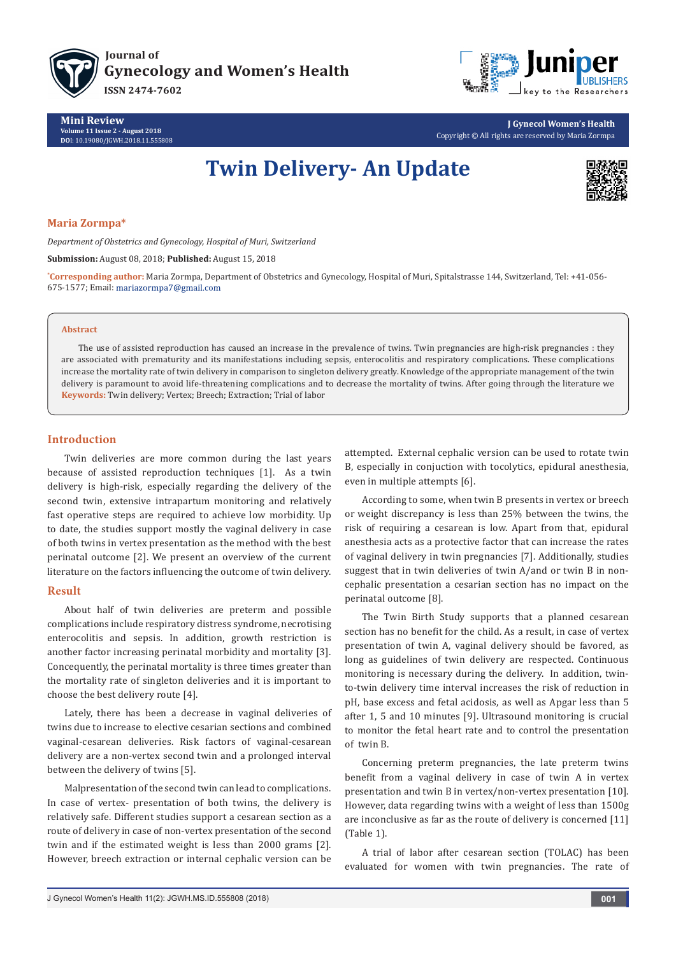



**Mini Review Volume 11 Issue 2 - August 2018 DO**I: [10.19080/JGWH.2018.11.555808](http://dx.doi.org/10.19080/JGWH.2018.11.555808)

# **J Gynecol Women's Health** Copyright © All rights are reserved by Maria Zormpa

# **Twin Delivery- An Update**



#### **Maria Zormpa\***

*Department of Obstetrics and Gynecology, Hospital of Muri, Switzerland*

**Submission:** August 08, 2018; **Published:** August 15, 2018

**\* Corresponding author:** Maria Zormpa, Department of Obstetrics and Gynecology, Hospital of Muri, Spitalstrasse 144, Switzerland, Tel: +41-056- 675-1577; Email:

#### **Abstract**

The use of assisted reproduction has caused an increase in the prevalence of twins. Twin pregnancies are high-risk pregnancies : they are associated with prematurity and its manifestations including sepsis, enterocolitis and respiratory complications. These complications increase the mortality rate of twin delivery in comparison to singleton delivery greatly. Knowledge of the appropriate management of the twin delivery is paramount to avoid life-threatening complications and to decrease the mortality of twins. After going through the literature we **Keywords:** Twin delivery; Vertex; Breech; Extraction; Trial of labor

### **Introduction**

Twin deliveries are more common during the last years because of assisted reproduction techniques [1]. As a twin delivery is high-risk, especially regarding the delivery of the second twin, extensive intrapartum monitoring and relatively fast operative steps are required to achieve low morbidity. Up to date, the studies support mostly the vaginal delivery in case of both twins in vertex presentation as the method with the best perinatal outcome [2]. We present an overview of the current literature on the factors influencing the outcome of twin delivery.

#### **Result**

About half of twin deliveries are preterm and possible complications include respiratory distress syndrome, necrotising enterocolitis and sepsis. In addition, growth restriction is another factor increasing perinatal morbidity and mortality [3]. Concequently, the perinatal mortality is three times greater than the mortality rate of singleton deliveries and it is important to choose the best delivery route [4].

Lately, there has been a decrease in vaginal deliveries of twins due to increase to elective cesarian sections and combined vaginal-cesarean deliveries. Risk factors of vaginal-cesarean delivery are a non-vertex second twin and a prolonged interval between the delivery of twins [5].

Malpresentation of the second twin can lead to complications. In case of vertex- presentation of both twins, the delivery is relatively safe. Different studies support a cesarean section as a route of delivery in case of non-vertex presentation of the second twin and if the estimated weight is less than 2000 grams [2]. However, breech extraction or internal cephalic version can be attempted. External cephalic version can be used to rotate twin B, especially in conjuction with tocolytics, epidural anesthesia, even in multiple attempts [6].

According to some, when twin B presents in vertex or breech or weight discrepancy is less than 25% between the twins, the risk of requiring a cesarean is low. Apart from that, epidural anesthesia acts as a protective factor that can increase the rates of vaginal delivery in twin pregnancies [7]. Additionally, studies suggest that in twin deliveries of twin A/and or twin B in noncephalic presentation a cesarian section has no impact on the perinatal outcome [8].

The Twin Birth Study supports that a planned cesarean section has no benefit for the child. As a result, in case of vertex presentation of twin A, vaginal delivery should be favored, as long as guidelines of twin delivery are respected. Continuous monitoring is necessary during the delivery. In addition, twinto-twin delivery time interval increases the risk of reduction in pH, base excess and fetal acidosis, as well as Apgar less than 5 after 1, 5 and 10 minutes [9]. Ultrasound monitoring is crucial to monitor the fetal heart rate and to control the presentation of twin B.

Concerning preterm pregnancies, the late preterm twins benefit from a vaginal delivery in case of twin A in vertex presentation and twin B in vertex/non-vertex presentation [10]. However, data regarding twins with a weight of less than 1500g are inconclusive as far as the route of delivery is concerned [11] (Table 1).

A trial of labor after cesarean section (TOLAC) has been evaluated for women with twin pregnancies. The rate of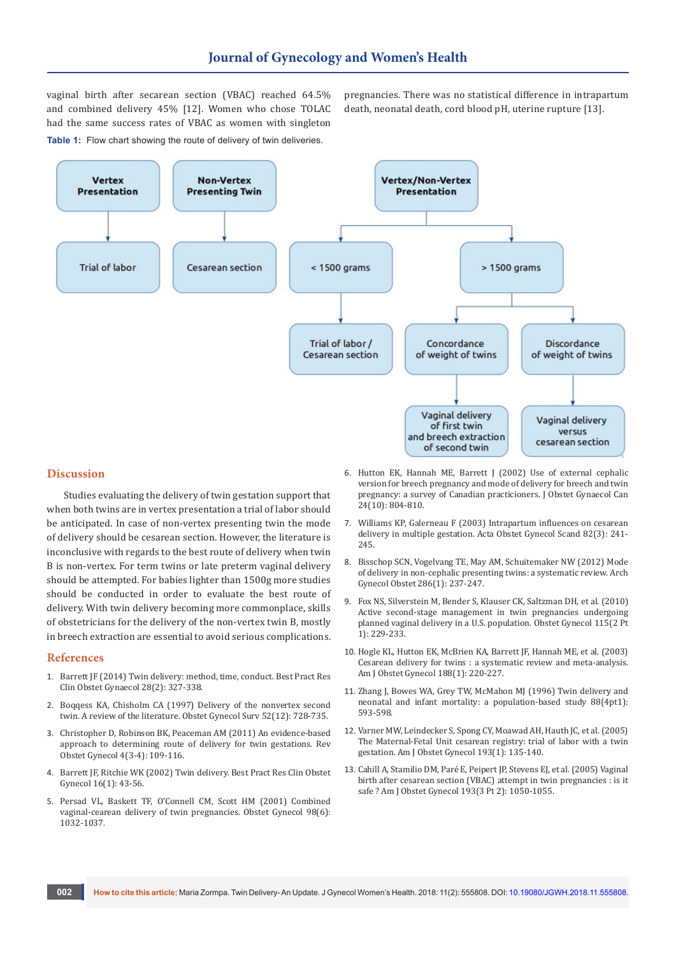vaginal birth after secarean section (VBAC) reached 64.5% and combined delivery 45% [12]. Women who chose TOLAC had the same success rates of VBAC as women with singleton **Table 1:** Flow chart showing the route of delivery of twin deliveries.

pregnancies. There was no statistical difference in intrapartum death, neonatal death, cord blood pH, uterine rupture [13].



#### **Discussion**

Studies evaluating the delivery of twin gestation support that when both twins are in vertex presentation a trial of labor should be anticipated. In case of non-vertex presenting twin the mode of delivery should be cesarean section. However, the literature is inconclusive with regards to the best route of delivery when twin B is non-vertex. For term twins or late preterm vaginal delivery should be attempted. For babies lighter than 1500g more studies should be conducted in order to evaluate the best route of delivery. With twin delivery becoming more commonplace, skills of obstetricians for the delivery of the non-vertex twin B, mostly in breech extraction are essential to avoid serious complications.

#### **References**

- 1. [Barrett JF \(2014\) Twin delivery: method, time, conduct. Best Pract Res](https://www.ncbi.nlm.nih.gov/pubmed/24445020) [Clin Obstet Gynaecol 28\(2\): 327-338.](https://www.ncbi.nlm.nih.gov/pubmed/24445020)
- 2. [Boqqess KA, Chisholm CA \(1997\) Delivery of the nonvertex second](https://www.ncbi.nlm.nih.gov/pubmed/9408928) [twin. A review of the literature. Obstet Gynecol Surv 52\(12\): 728-735.](https://www.ncbi.nlm.nih.gov/pubmed/9408928)
- 3. [Christopher D, Robinson BK, Peaceman AM \(2011\) An evidence-based](https://www.ncbi.nlm.nih.gov/pubmed/22229063/) [approach to determining route of delivery for twin gestations. Rev](https://www.ncbi.nlm.nih.gov/pubmed/22229063/) [Obstet Gynecol 4\(3-4\): 109-116.](https://www.ncbi.nlm.nih.gov/pubmed/22229063/)
- 4. [Barrett JF, Ritchie WK \(2002\) Twin delivery. Best Pract Res Clin Obstet](https://www.ncbi.nlm.nih.gov/pubmed/11866496) [Gynecol 16\(1\): 43-56.](https://www.ncbi.nlm.nih.gov/pubmed/11866496)
- 5. [Persad VL, Baskett TF, O'Connell CM, Scott HM \(2001\) Combined](https://www.ncbi.nlm.nih.gov/pubmed/11755549) [vaginal-cearean delivery of twin pregnancies. Obstet Gynecol 98\(6\):](https://www.ncbi.nlm.nih.gov/pubmed/11755549) [1032-1037.](https://www.ncbi.nlm.nih.gov/pubmed/11755549)
- 6. [Hutton EK, Hannah ME, Barrett J \(2002\) Use of external cephalic](https://www.ncbi.nlm.nih.gov/pubmed/12399807)  [version for breech pregnancy and mode of delivery for breech and twin](https://www.ncbi.nlm.nih.gov/pubmed/12399807)  [pregnancy: a survey of Canadian practicioners. J Obstet Gynaecol Can](https://www.ncbi.nlm.nih.gov/pubmed/12399807)  [24\(10\): 804-810.](https://www.ncbi.nlm.nih.gov/pubmed/12399807)
- 7. [Williams KP, Galerneau F \(2003\) Intrapartum influences on cesarean](https://obgyn.onlinelibrary.wiley.com/doi/abs/10.1034/j.1600-0412.2003.00098.x)  [delivery in multiple gestation. Acta Obstet Gynecol Scand 82\(3\): 241-](https://obgyn.onlinelibrary.wiley.com/doi/abs/10.1034/j.1600-0412.2003.00098.x) [245.](https://obgyn.onlinelibrary.wiley.com/doi/abs/10.1034/j.1600-0412.2003.00098.x)
- 8. [Bisschop SCN, Vogelvang TE, May AM, Schuitemaker NW \(2012\) Mode](https://www.ncbi.nlm.nih.gov/pubmed/22465994/)  [of delivery in non-cephalic presenting twins: a systematic review. Arch](https://www.ncbi.nlm.nih.gov/pubmed/22465994/)  [Gynecol Obstet 286\(1\): 237-247.](https://www.ncbi.nlm.nih.gov/pubmed/22465994/)
- 9. [Fox NS, Silverstein M, Bender S, Klauser CK,](https://www.ncbi.nlm.nih.gov/pubmed/20093893) Saltzman DH, et al. (2010) [Active second-stage management in twin pregnancies undergoing](https://www.ncbi.nlm.nih.gov/pubmed/20093893)  [planned vaginal delivery in a U.S. population. Obstet Gynecol 115\(2 Pt](https://www.ncbi.nlm.nih.gov/pubmed/20093893)  [1\): 229-233.](https://www.ncbi.nlm.nih.gov/pubmed/20093893)
- 10. [Hogle KL, Hutton EK, McBrien KA, Barrett JF,](https://www.ncbi.nlm.nih.gov/pubmed/12548221) Hannah ME, et al. (2003) Cesarean delivery for twins [: a systematic review and meta-analysis.](https://www.ncbi.nlm.nih.gov/pubmed/12548221)  [Am J Obstet Gynecol 188\(1\): 220-227.](https://www.ncbi.nlm.nih.gov/pubmed/12548221)
- 11. [Zhang J, Bowes WA, Grey TW, McMahon MJ \(1996\) Twin delivery and](https://europepmc.org/abstract/med/8841225)  [neonatal and infant mortality: a population-based study 88\(4pt1\):](https://europepmc.org/abstract/med/8841225)  [593-598.](https://europepmc.org/abstract/med/8841225)
- 12. [Varner MW, Leindecker S, Spong CY, Moawad AH,](https://www.ncbi.nlm.nih.gov/pubmed/16021071) Hauth JC, et al. (2005) [The Maternal-Fetal Unit cesarean registry: trial of labor with a twin](https://www.ncbi.nlm.nih.gov/pubmed/16021071)  gestation. [Am J Obstet Gynecol 193\(1\): 135-140.](https://www.ncbi.nlm.nih.gov/pubmed/16021071)
- 13. [Cahill A, Stamilio DM, Paré E, Peipert JP,](https://www.ncbi.nlm.nih.gov/pubmed/16157110) Stevens EJ, et al. (2005) Vaginal [birth after cesarean section \(VBAC\) attempt in twin pregnancies](https://www.ncbi.nlm.nih.gov/pubmed/16157110) : is it safe [? Am J Obstet Gynecol 193\(3 Pt 2\): 1050-1055.](https://www.ncbi.nlm.nih.gov/pubmed/16157110)